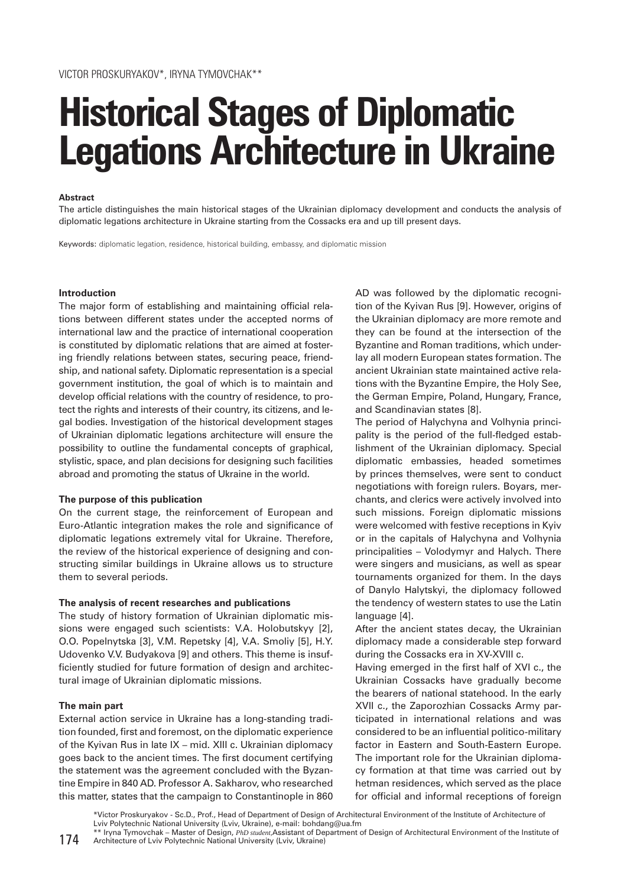# **Legations Architecture in Ukrain Legations Architecture in Ukraine in Ukraine in Ukraine in Ukraine in Ukraine in Ukraine in Ukraine in Ukraine**<br>Abstract

#### **Abstract**

The article distinguishes the main historical stages of the Ukrainian diplomacy development and conducts the analysis of diplomatic legations architecture in Ukraine starting from the Cossacks era and up till present days.

Keywords: diplomatic legation, residence, historical building, embassy, and diplomatic mission

#### **Introduction**

The major form of establishing and maintaining official relations between different states under the accepted norms of international law and the practice of international cooperation is constituted by diplomatic relations that are aimed at fostering friendly relations between states, securing peace, friendship, and national safety. Diplomatic representation is a special government institution, the goal of which is to maintain and develop official relations with the country of residence, to protect the rights and interests of their country, its citizens, and legal bodies. Investigation of the historical development stages of Ukrainian diplomatic legations architecture will ensure the possibility to outline the fundamental concepts of graphical, stylistic, space, and plan decisions for designing such facilities abroad and promoting the status of Ukraine in the world.

# **The purpose of this publication**

On the current stage, the reinforcement of European and Euro-Atlantic integration makes the role and significance of diplomatic legations extremely vital for Ukraine. Therefore, the review of the historical experience of designing and constructing similar buildings in Ukraine allows us to structure them to several periods.

# **The analysis of recent researches and publications**

The study of history formation of Ukrainian diplomatic missions were engaged such scientists: V.A. Holobutskyy [2], O.O. Popelnytska [3], V.M. Repetsky [4], V.A. Smoliy [5], H.Y. Udovenko V.V. Budyakova [9] and others. This theme is insufficiently studied for future formation of design and architectural image of Ukrainian diplomatic missions.

# **The main part**

External action service in Ukraine has a long-standing tradition founded, first and foremost, on the diplomatic experience of the Kyivan Rus in late IX – mid. XIII c. Ukrainian diplomacy goes back to the ancient times. The first document certifying the statement was the agreement concluded with the Byzantine Empire in 840 AD. Professor A. Sakharov, who researched this matter, states that the campaign to Constantinople in 860 AD was followed by the diplomatic recognition of the Kyivan Rus [9]. However, origins of the Ukrainian diplomacy are more remote and they can be found at the intersection of the Byzantine and Roman traditions, which underlay all modern European states formation. The ancient Ukrainian state maintained active relations with the Byzantine Empire, the Holy See, the German Empire, Poland, Hungary, France, and Scandinavian states [8].

The period of Halychyna and Volhynia principality is the period of the full-fledged establishment of the Ukrainian diplomacy. Special diplomatic embassies, headed sometimes by princes themselves, were sent to conduct negotiations with foreign rulers. Boyars, merchants, and clerics were actively involved into such missions. Foreign diplomatic missions were welcomed with festive receptions in Kyiv or in the capitals of Halychyna and Volhynia principalities – Volodymyr and Halych. There were singers and musicians, as well as spear tournaments organized for them. In the days of Danylo Halytskyi, the diplomacy followed the tendency of western states to use the Latin language [4].

After the ancient states decay, the Ukrainian diplomacy made a considerable step forward during the Cossacks era in XV-XVIII c.

Having emerged in the first half of XVI c., the Ukrainian Cossacks have gradually become the bearers of national statehood. In the early XVII c., the Zaporozhian Cossacks Army participated in international relations and was considered to be an influential politico-military factor in Eastern and South-Eastern Europe. The important role for the Ukrainian diplomacy formation at that time was carried out by hetman residences, which served as the place for official and informal receptions of foreign

\*Victor Proskuryakov - Sc.D., Prof., Head of Department of Design of Architectural Environment of the Institute of Architecture of Lviv Polytechnic National University (Lviv, Ukraine), e-mail: bohdang@ua.fm

174 \*\* Iryna Tymovchak – Master of Design, *PhD student,*Assistant of Department of Design of Architectural Environment of the Institute of Architecture of Lviv Polytechnic National University (Lviv, Ukraine)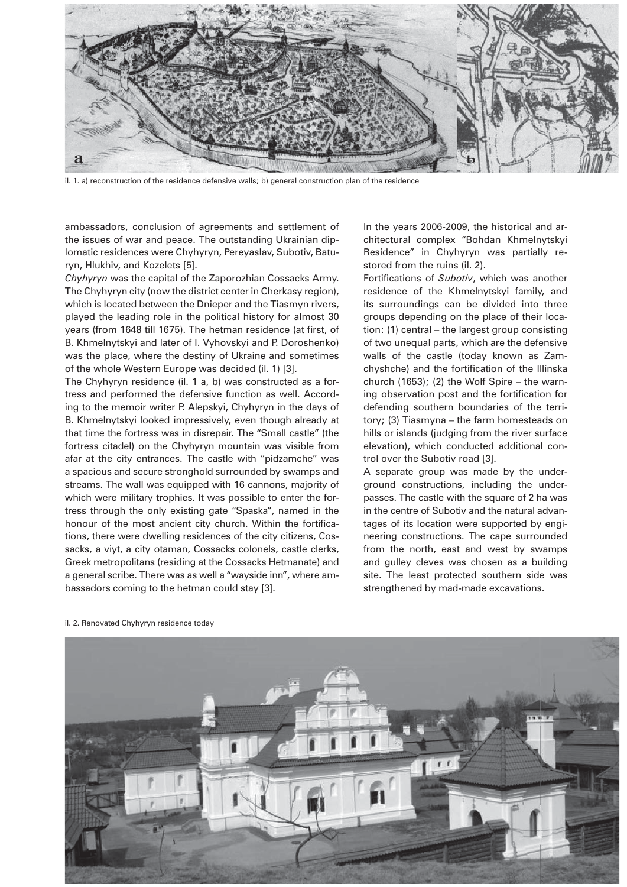

il. 1. a) reconstruction of the residence defensive walls; b) general construction plan of the residence

ambassadors, conclusion of agreements and settlement of the issues of war and peace. The outstanding Ukrainian diplomatic residences were Chyhyryn, Pereyaslav, Subotiv, Baturyn, Hlukhiv, and Kozelets [5].

*Chyhyryn* was the capital of the Zaporozhian Cossacks Army. The Chyhyryn city (now the district center in Cherkasy region), which is located between the Dnieper and the Tiasmyn rivers, played the leading role in the political history for almost 30 years (from 1648 till 1675). The hetman residence (at first, of B. Khmelnytskyi and later of I. Vyhovskyi and P. Doroshenko) was the place, where the destiny of Ukraine and sometimes of the whole Western Europe was decided (il. 1) [3].

The Chyhyryn residence (il. 1 a, b) was constructed as a fortress and performed the defensive function as well. According to the memoir writer P. Alepskyi, Chyhyryn in the days of B. Khmelnytskyi looked impressively, even though already at that time the fortress was in disrepair. The "Small castle" (the fortress citadel) on the Chyhyryn mountain was visible from afar at the city entrances. The castle with "pidzamche" was a spacious and secure stronghold surrounded by swamps and streams. The wall was equipped with 16 cannons, majority of which were military trophies. It was possible to enter the fortress through the only existing gate "Spaska", named in the honour of the most ancient city church. Within the fortifications, there were dwelling residences of the city citizens, Cossacks, a viyt, a city otaman, Cossacks colonels, castle clerks, Greek metropolitans (residing at the Cossacks Hetmanate) and a general scribe. There was as well a "wayside inn", where ambassadors coming to the hetman could stay [3].

In the years 2006-2009, the historical and architectural complex "Bohdan Khmelnytskyi Residence" in Chyhyryn was partially restored from the ruins (il. 2).

Fortifications of *Subotiv*, which was another residence of the Khmelnytskyi family, and its surroundings can be divided into three groups depending on the place of their location: (1) central – the largest group consisting of two unequal parts, which are the defensive walls of the castle (today known as Zamchyshche) and the fortification of the Illinska church (1653); (2) the Wolf Spire – the warning observation post and the fortification for defending southern boundaries of the territory; (3) Tiasmyna – the farm homesteads on hills or islands (judging from the river surface elevation), which conducted additional control over the Subotiv road [3].

A separate group was made by the underground constructions, including the underpasses. The castle with the square of 2 ha was in the centre of Subotiv and the natural advantages of its location were supported by engineering constructions. The cape surrounded from the north, east and west by swamps and gulley cleves was chosen as a building site. The least protected southern side was strengthened by mad-made excavations.



il. 2. Renovated Chyhyryn residence today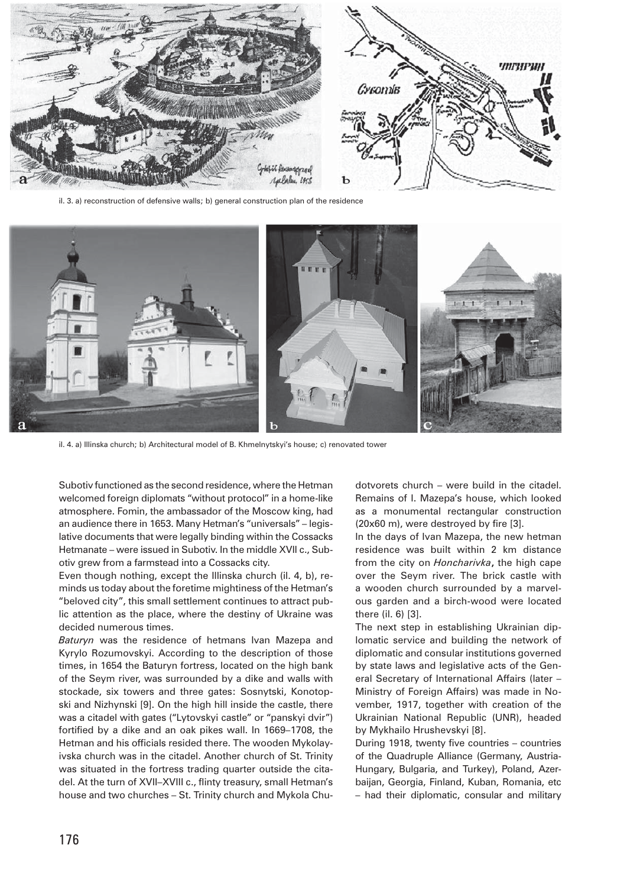

il. 3. a) reconstruction of defensive walls; b) general construction plan of the residence



il. 4. a) Illinska church; b) Architectural model of B. Khmelnytskyi's house; c) renovated tower

Subotiv functioned as the second residence, where the Hetman welcomed foreign diplomats "without protocol" in a home-like atmosphere. Fomin, the ambassador of the Moscow king, had an audience there in 1653. Many Hetman's "universals" – legislative documents that were legally binding within the Cossacks Hetmanate – were issued in Subotiv. In the middle XVII c., Subotiv grew from a farmstead into a Cossacks city.

Even though nothing, except the Illinska church (il. 4, b), reminds us today about the foretime mightiness of the Hetman's "beloved city", this small settlement continues to attract public attention as the place, where the destiny of Ukraine was decided numerous times.

*Baturyn* was the residence of hetmans Ivan Mazepa and Kyrylo Rozumovskyi. According to the description of those times, in 1654 the Baturyn fortress, located on the high bank of the Seym river, was surrounded by a dike and walls with stockade, six towers and three gates: Sosnytski, Konotopski and Nizhynski [9]. On the high hill inside the castle, there was a citadel with gates ("Lytovskyi castle" or "panskyi dvir") fortified by a dike and an oak pikes wall. In 1669–1708, the Hetman and his officials resided there. The wooden Mykolayivska church was in the citadel. Another church of St. Trinity was situated in the fortress trading quarter outside the citadel. At the turn of XVII–XVIII c., flinty treasury, small Hetman's house and two churches – St. Trinity church and Mykola Chudotvorets church – were build in the citadel. Remains of I. Mazepa's house, which looked as a monumental rectangular construction (20x60 m), were destroyed by fire [3].

In the days of Ivan Mazepa, the new hetman residence was built within 2 km distance from the city on *Honcharivka***,** the high cape over the Seym river. The brick castle with a wooden church surrounded by a marvelous garden and a birch-wood were located there (il. 6) [3].

The next step in establishing Ukrainian diplomatic service and building the network of diplomatic and consular institutions governed by state laws and legislative acts of the General Secretary of International Affairs (later – Ministry of Foreign Affairs) was made in November, 1917, together with creation of the Ukrainian National Republic (UNR), headed by Mykhailo Hrushevskyi [8].

During 1918, twenty five countries – countries of the Quadruple Alliance (Germany, Austria-Hungary, Bulgaria, and Turkey), Poland, Azerbaijan, Georgia, Finland, Kuban, Romania, etc – had their diplomatic, consular and military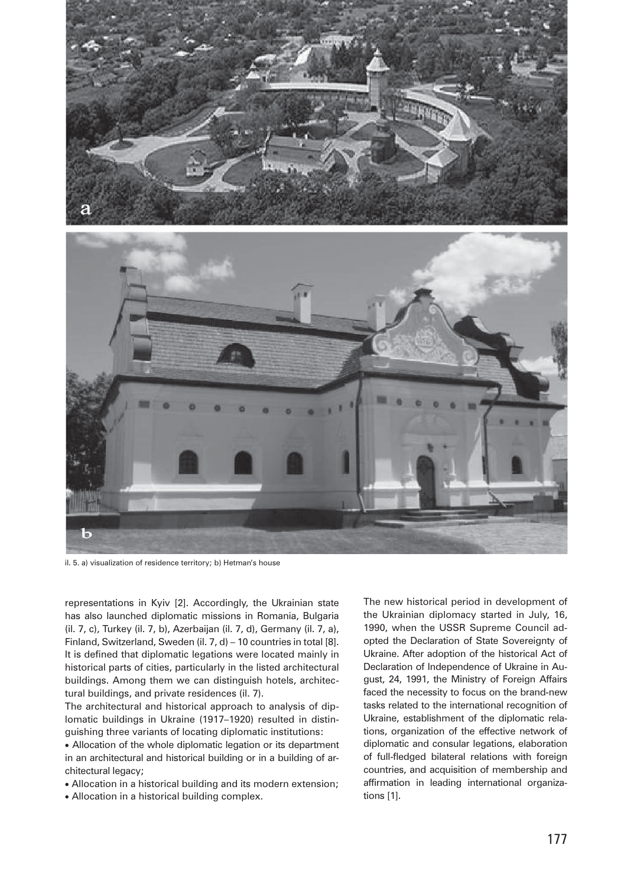

il. 5. a) visualization of residence territory; b) Hetman's house

representations in Kyiv [2]. Accordingly, the Ukrainian state has also launched diplomatic missions in Romania, Bulgaria (il. 7, c), Turkey (il. 7, b), Azerbaijan (il. 7, d), Germany (il. 7, a), Finland, Switzerland, Sweden (il. 7, d) – 10 countries in total [8]. It is defined that diplomatic legations were located mainly in historical parts of cities, particularly in the listed architectural buildings. Among them we can distinguish hotels, architectural buildings, and private residences (il. 7).

The architectural and historical approach to analysis of diplomatic buildings in Ukraine (1917–1920) resulted in distinguishing three variants of locating diplomatic institutions:

• Allocation of the whole diplomatic legation or its department in an architectural and historical building or in a building of architectural legacy;

• Allocation in a historical building and its modern extension;

• Allocation in a historical building complex.

The new historical period in development of the Ukrainian diplomacy started in July, 16, 1990, when the USSR Supreme Council adopted the Declaration of State Sovereignty of Ukraine. After adoption of the historical Act of Declaration of Independence of Ukraine in August, 24, 1991, the Ministry of Foreign Affairs faced the necessity to focus on the brand-new tasks related to the international recognition of Ukraine, establishment of the diplomatic relations, organization of the effective network of diplomatic and consular legations, elaboration of full-fledged bilateral relations with foreign countries, and acquisition of membership and affirmation in leading international organizations [1].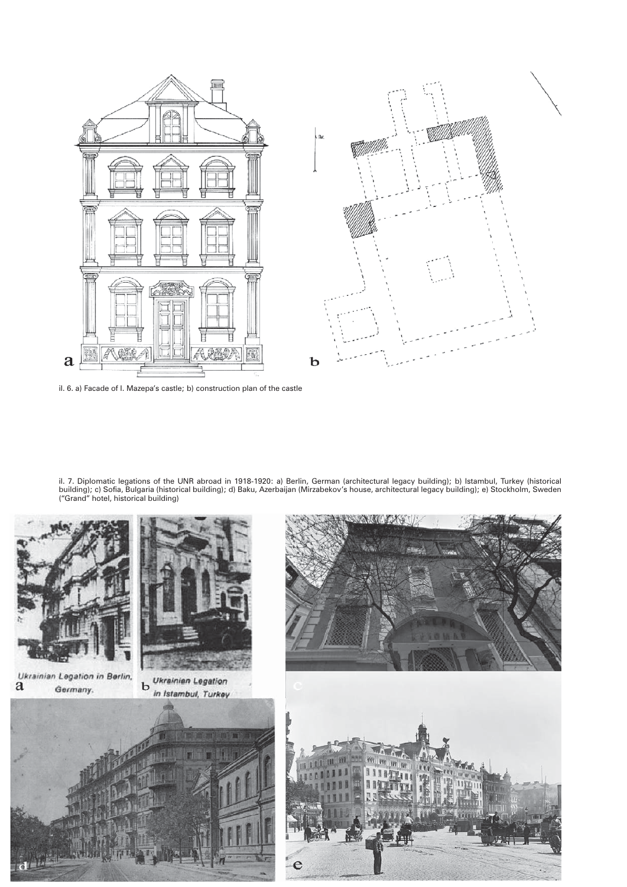

il. 6. a) Facade of I. Mazepa's castle; b) construction plan of the castle

il. 7. Diplomatic legations of the UNR abroad in 1918-1920: a) Berlin, German (architectural legacy building); b) Istambul, Turkey (historical building); c) Sofia, Bulgaria (historical building); d) Baku, Azerbaijan (Mirzabekov's house, architectural legacy building); e) Stockholm, Sweden ("Grand" hotel, historical building)